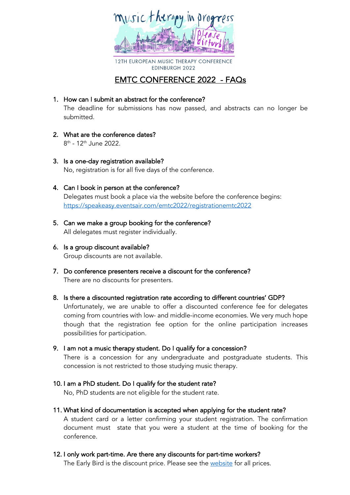

12TH EUROPEAN MUSIC THERAPY CONFERENCE **EDINBURGH 2022** 

# EMTC CONFERENCE 2022 - FAQs

1. How can I submit an abstract for the conference?

The deadline for submissions has now passed, and abstracts can no longer be submitted.

- 2. What are the conference dates? 8th - 12th June 2022.
- 3. Is a one-day registration available? No, registration is for all five days of the conference.
- 4. Can I book in person at the conference? Delegates must book a place via the website before the conference begins: https://speakeasy.eventsair.com/emtc2022/registrationemtc2022
- 5. Can we make a group booking for the conference? All delegates must register individually.
- 6. Is a group discount available? Group discounts are not available.
- 7. Do conference presenters receive a discount for the conference? There are no discounts for presenters.
- 8. Is there a discounted registration rate according to different countries' GDP? Unfortunately, we are unable to offer a discounted conference fee for delegates coming from countries with low- and middle-income economies. We very much hope though that the registration fee option for the online participation increases possibilities for participation.
- 9. I am not a music therapy student. Do I qualify for a concession? There is a concession for any undergraduate and postgraduate students. This concession is not restricted to those studying music therapy.
- 10. I am a PhD student. Do I qualify for the student rate? No, PhD students are not eligible for the student rate.
- 11. What kind of documentation is accepted when applying for the student rate? A student card or a letter confirming your student registration. The confirmation document must state that you were a student at the time of booking for the conference.
- 12. I only work part-time. Are there any discounts for part-time workers?

The Early Bird is the discount price. Please see the website for all prices.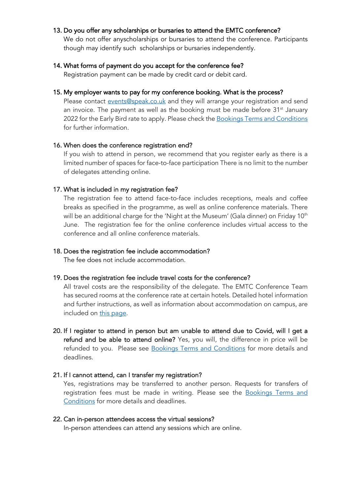# 13. Do you offer any scholarships or bursaries to attend the EMTC conference?

We do not offer anyscholarships or bursaries to attend the conference. Participants though may identify such scholarships or bursaries independently.

## 14. What forms of payment do you accept for the conference fee?

Registration payment can be made by credit card or debit card.

# 15. My employer wants to pay for my conference booking. What is the process?

Please contact events@speak.co.uk and they will arrange your registration and send an invoice. The payment as well as the booking must be made before 31<sup>st</sup> January 2022 for the Early Bird rate to apply. Please check the Bookings Terms and Conditions for further information.

## 16. When does the conference registration end?

If you wish to attend in person, we recommend that you register early as there is a limited number of spaces for face-to-face participation There is no limit to the number of delegates attending online.

# 17. What is included in my registration fee?

The registration fee to attend face-to-face includes receptions, meals and coffee breaks as specified in the programme, as well as online conference materials. There will be an additional charge for the 'Night at the Museum' (Gala dinner) on Friday 10<sup>th</sup> June. The registration fee for the online conference includes virtual access to the conference and all online conference materials.

## 18. Does the registration fee include accommodation?

The fee does not include accommodation.

#### 19. Does the registration fee include travel costs for the conference?

All travel costs are the responsibility of the delegate. The EMTC Conference Team has secured rooms at the conference rate at certain hotels. Detailed hotel information and further instructions, as well as information about accommodation on campus, are included on this page.

20. If I register to attend in person but am unable to attend due to Covid, will I get a refund and be able to attend online? Yes, you will, the difference in price will be refunded to you. Please see **Bookings Terms and Conditions** for more details and deadlines.

# 21. If I cannot attend, can I transfer my registration?

Yes, registrations may be transferred to another person. Requests for transfers of registration fees must be made in writing. Please see the **Bookings Terms and** Conditions for more details and deadlines.

# 22. Can in-person attendees access the virtual sessions?

In-person attendees can attend any sessions which are online.